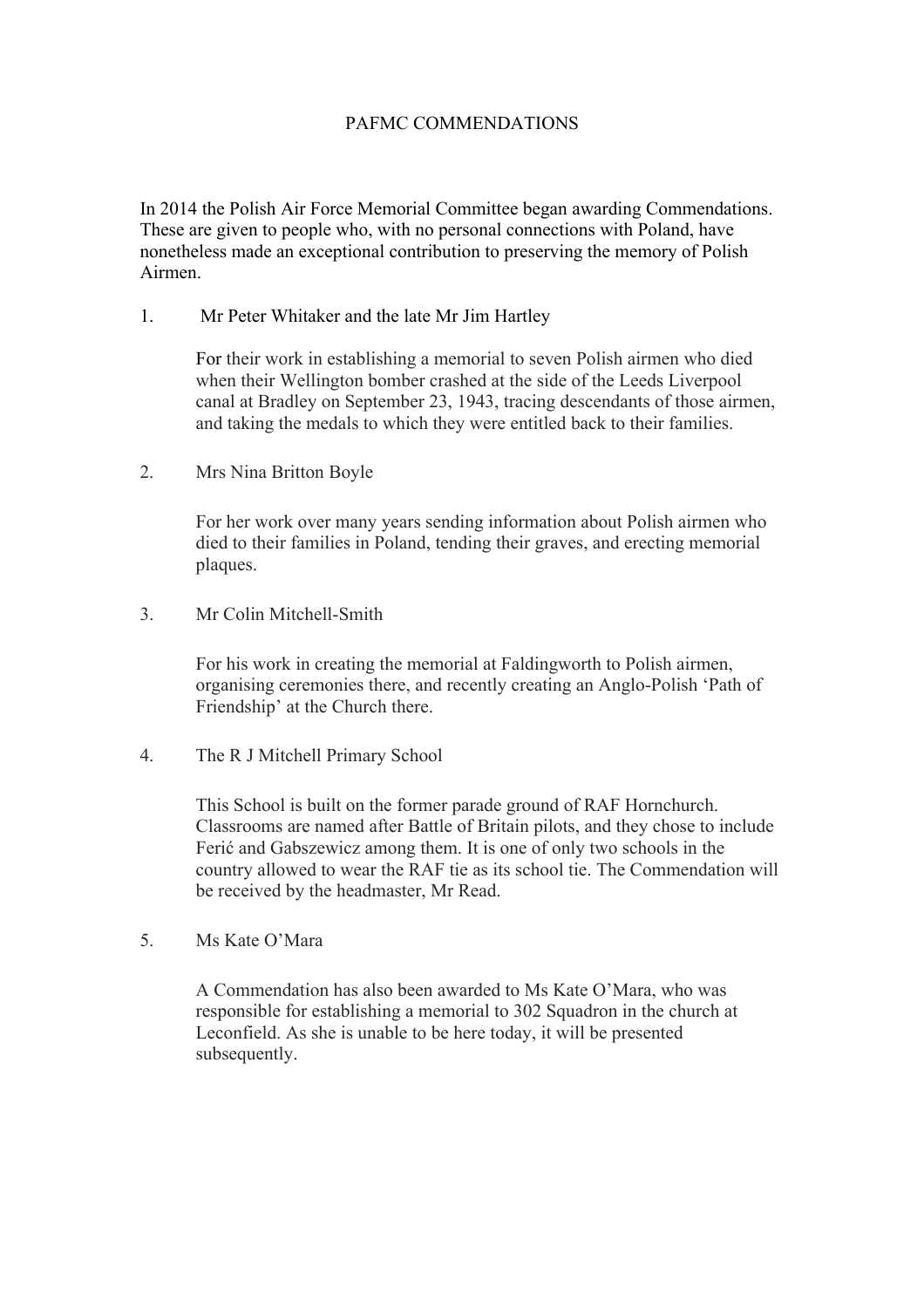## PAFMC COMMENDATIONS

In 2014 the Polish Air Force Memorial Committee began awarding Commendations. These are given to people who, with no personal connections with Poland, have nonetheless made an exceptional contribution to preserving the memory of Polish Airmen.

1. Mr Peter Whitaker and the late Mr Jim Hartley

For their work in establishing a memorial to seven Polish airmen who died when their Wellington bomber crashed at the side of the Leeds Liverpool canal at Bradley on September 23, 1943, tracing descendants of those airmen, and taking the medals to which they were entitled back to their families.

2. Mrs Nina Britton Boyle

For her work over many years sending information about Polish airmen who died to their families in Poland, tending their graves, and erecting memorial plaques.

3. Mr Colin Mitchell-Smith

For his work in creating the memorial at Faldingworth to Polish airmen, organising ceremonies there, and recently creating an Anglo-Polish 'Path of Friendship' at the Church there.

4. The R J Mitchell Primary School

This School is built on the former parade ground of RAF Hornchurch. Classrooms are named after Battle of Britain pilots, and they chose to include Ferić and Gabszewicz among them. It is one of only two schools in the country allowed to wear the RAF tie as its school tie. The Commendation will be received by the headmaster, Mr Read.

5. Ms Kate O'Mara

A Commendation has also been awarded to Ms Kate O'Mara, who was responsible for establishing a memorial to 302 Squadron in the church at Leconfield. As she is unable to be here today, it will be presented subsequently.